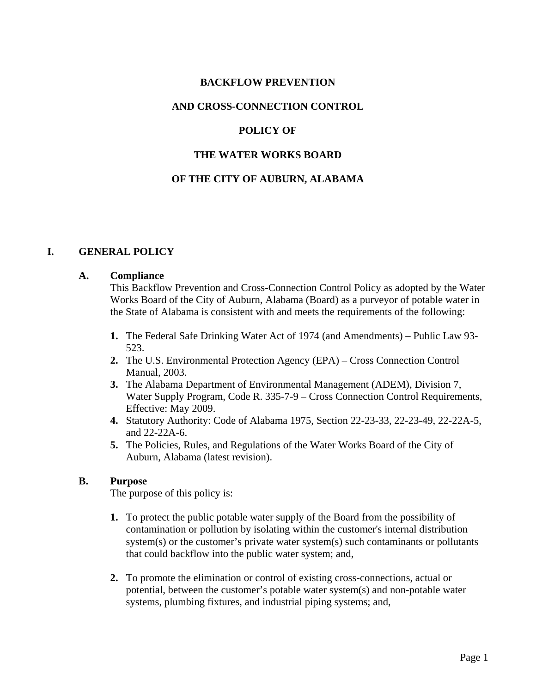### **BACKFLOW PREVENTION**

#### **AND CROSS-CONNECTION CONTROL**

### **POLICY OF**

#### **THE WATER WORKS BOARD**

#### **OF THE CITY OF AUBURN, ALABAMA**

#### **I. GENERAL POLICY**

#### **A. Compliance**

This Backflow Prevention and Cross-Connection Control Policy as adopted by the Water Works Board of the City of Auburn, Alabama (Board) as a purveyor of potable water in the State of Alabama is consistent with and meets the requirements of the following:

- **1.** The Federal Safe Drinking Water Act of 1974 (and Amendments) Public Law 93- 523.
- **2.** The U.S. Environmental Protection Agency (EPA) Cross Connection Control Manual, 2003.
- **3.** The Alabama Department of Environmental Management (ADEM), Division 7, Water Supply Program, Code R. 335-7-9 – Cross Connection Control Requirements, Effective: May 2009.
- **4.** Statutory Authority: Code of Alabama 1975, Section 22-23-33, 22-23-49, 22-22A-5, and 22-22A-6.
- **5.** The Policies, Rules, and Regulations of the Water Works Board of the City of Auburn, Alabama (latest revision).

#### **B. Purpose**

The purpose of this policy is:

- **1.** To protect the public potable water supply of the Board from the possibility of contamination or pollution by isolating within the customer's internal distribution system(s) or the customer's private water system(s) such contaminants or pollutants that could backflow into the public water system; and,
- **2.** To promote the elimination or control of existing cross-connections, actual or potential, between the customer's potable water system(s) and non-potable water systems, plumbing fixtures, and industrial piping systems; and,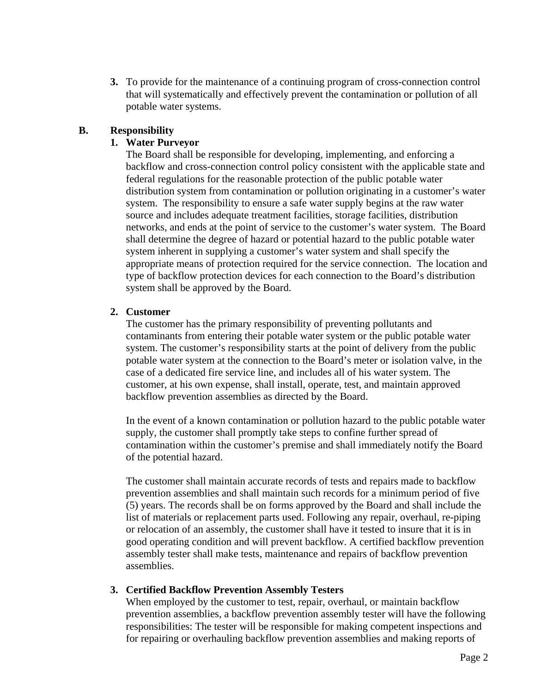**3.** To provide for the maintenance of a continuing program of cross-connection control that will systematically and effectively prevent the contamination or pollution of all potable water systems.

# **B. Responsibility**

# **1. Water Purveyor**

The Board shall be responsible for developing, implementing, and enforcing a backflow and cross-connection control policy consistent with the applicable state and federal regulations for the reasonable protection of the public potable water distribution system from contamination or pollution originating in a customer's water system. The responsibility to ensure a safe water supply begins at the raw water source and includes adequate treatment facilities, storage facilities, distribution networks, and ends at the point of service to the customer's water system. The Board shall determine the degree of hazard or potential hazard to the public potable water system inherent in supplying a customer's water system and shall specify the appropriate means of protection required for the service connection. The location and type of backflow protection devices for each connection to the Board's distribution system shall be approved by the Board.

## **2. Customer**

The customer has the primary responsibility of preventing pollutants and contaminants from entering their potable water system or the public potable water system. The customer's responsibility starts at the point of delivery from the public potable water system at the connection to the Board's meter or isolation valve, in the case of a dedicated fire service line, and includes all of his water system. The customer, at his own expense, shall install, operate, test, and maintain approved backflow prevention assemblies as directed by the Board.

In the event of a known contamination or pollution hazard to the public potable water supply, the customer shall promptly take steps to confine further spread of contamination within the customer's premise and shall immediately notify the Board of the potential hazard.

The customer shall maintain accurate records of tests and repairs made to backflow prevention assemblies and shall maintain such records for a minimum period of five (5) years. The records shall be on forms approved by the Board and shall include the list of materials or replacement parts used. Following any repair, overhaul, re-piping or relocation of an assembly, the customer shall have it tested to insure that it is in good operating condition and will prevent backflow. A certified backflow prevention assembly tester shall make tests, maintenance and repairs of backflow prevention assemblies.

## **3. Certified Backflow Prevention Assembly Testers**

When employed by the customer to test, repair, overhaul, or maintain backflow prevention assemblies, a backflow prevention assembly tester will have the following responsibilities: The tester will be responsible for making competent inspections and for repairing or overhauling backflow prevention assemblies and making reports of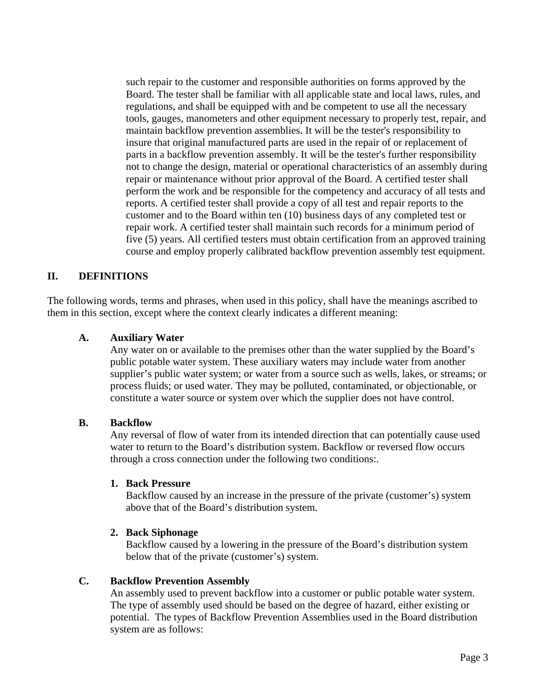such repair to the customer and responsible authorities on forms approved by the Board. The tester shall be familiar with all applicable state and local laws, rules, and regulations, and shall be equipped with and be competent to use all the necessary tools, gauges, manometers and other equipment necessary to properly test, repair, and maintain backflow prevention assemblies. It will be the tester's responsibility to insure that original manufactured parts are used in the repair of or replacement of parts in a backflow prevention assembly. It will be the tester's further responsibility not to change the design, material or operational characteristics of an assembly during repair or maintenance without prior approval of the Board. A certified tester shall perform the work and be responsible for the competency and accuracy of all tests and reports. A certified tester shall provide a copy of all test and repair reports to the customer and to the Board within ten (10) business days of any completed test or repair work. A certified tester shall maintain such records for a minimum period of five (5) years. All certified testers must obtain certification from an approved training course and employ properly calibrated backflow prevention assembly test equipment.

## **II. DEFINITIONS**

The following words, terms and phrases, when used in this policy, shall have the meanings ascribed to them in this section, except where the context clearly indicates a different meaning:

### **A. Auxiliary Water**

Any water on or available to the premises other than the water supplied by the Board's public potable water system. These auxiliary waters may include water from another supplier's public water system; or water from a source such as wells, lakes, or streams; or process fluids; or used water. They may be polluted, contaminated, or objectionable, or constitute a water source or system over which the supplier does not have control.

#### **B. Backflow**

Any reversal of flow of water from its intended direction that can potentially cause used water to return to the Board's distribution system. Backflow or reversed flow occurs through a cross connection under the following two conditions:.

#### **1. Back Pressure**

Backflow caused by an increase in the pressure of the private (customer's) system above that of the Board's distribution system.

#### **2. Back Siphonage**

Backflow caused by a lowering in the pressure of the Board's distribution system below that of the private (customer's) system.

#### **C. Backflow Prevention Assembly**

An assembly used to prevent backflow into a customer or public potable water system. The type of assembly used should be based on the degree of hazard, either existing or potential. The types of Backflow Prevention Assemblies used in the Board distribution system are as follows: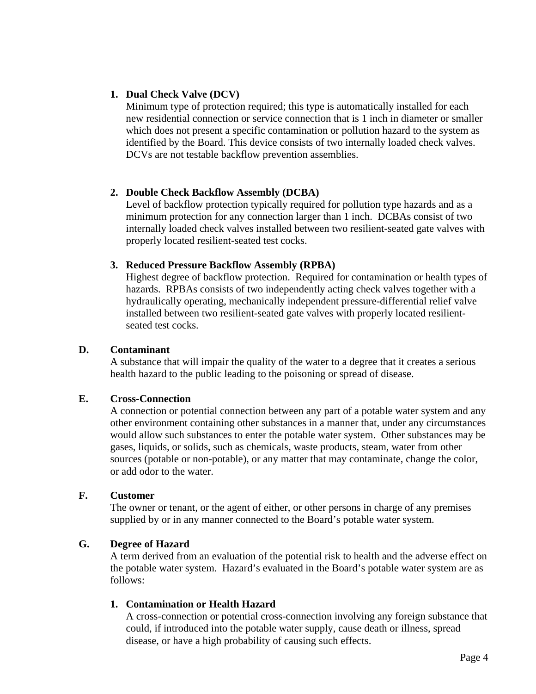## **1. Dual Check Valve (DCV)**

Minimum type of protection required; this type is automatically installed for each new residential connection or service connection that is 1 inch in diameter or smaller which does not present a specific contamination or pollution hazard to the system as identified by the Board. This device consists of two internally loaded check valves. DCVs are not testable backflow prevention assemblies.

### **2. Double Check Backflow Assembly (DCBA)**

Level of backflow protection typically required for pollution type hazards and as a minimum protection for any connection larger than 1 inch. DCBAs consist of two internally loaded check valves installed between two resilient-seated gate valves with properly located resilient-seated test cocks.

### **3. Reduced Pressure Backflow Assembly (RPBA)**

Highest degree of backflow protection. Required for contamination or health types of hazards. RPBAs consists of two independently acting check valves together with a hydraulically operating, mechanically independent pressure-differential relief valve installed between two resilient-seated gate valves with properly located resilientseated test cocks.

### **D. Contaminant**

A substance that will impair the quality of the water to a degree that it creates a serious health hazard to the public leading to the poisoning or spread of disease.

#### **E. Cross-Connection**

A connection or potential connection between any part of a potable water system and any other environment containing other substances in a manner that, under any circumstances would allow such substances to enter the potable water system. Other substances may be gases, liquids, or solids, such as chemicals, waste products, steam, water from other sources (potable or non-potable), or any matter that may contaminate, change the color, or add odor to the water.

#### **F. Customer**

The owner or tenant, or the agent of either, or other persons in charge of any premises supplied by or in any manner connected to the Board's potable water system.

#### **G. Degree of Hazard**

A term derived from an evaluation of the potential risk to health and the adverse effect on the potable water system. Hazard's evaluated in the Board's potable water system are as follows:

## **1. Contamination or Health Hazard**

A cross-connection or potential cross-connection involving any foreign substance that could, if introduced into the potable water supply, cause death or illness, spread disease, or have a high probability of causing such effects.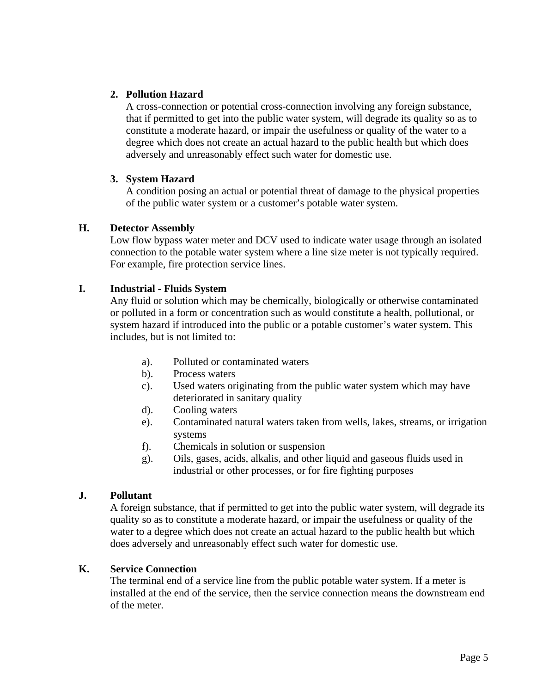# **2. Pollution Hazard**

A cross-connection or potential cross-connection involving any foreign substance, that if permitted to get into the public water system, will degrade its quality so as to constitute a moderate hazard, or impair the usefulness or quality of the water to a degree which does not create an actual hazard to the public health but which does adversely and unreasonably effect such water for domestic use.

## **3. System Hazard**

A condition posing an actual or potential threat of damage to the physical properties of the public water system or a customer's potable water system.

### **H. Detector Assembly**

Low flow bypass water meter and DCV used to indicate water usage through an isolated connection to the potable water system where a line size meter is not typically required. For example, fire protection service lines.

### **I. Industrial - Fluids System**

Any fluid or solution which may be chemically, biologically or otherwise contaminated or polluted in a form or concentration such as would constitute a health, pollutional, or system hazard if introduced into the public or a potable customer's water system. This includes, but is not limited to:

- a). Polluted or contaminated waters
- b). Process waters
- c). Used waters originating from the public water system which may have deteriorated in sanitary quality
- d). Cooling waters
- e). Contaminated natural waters taken from wells, lakes, streams, or irrigation systems
- f). Chemicals in solution or suspension
- g). Oils, gases, acids, alkalis, and other liquid and gaseous fluids used in industrial or other processes, or for fire fighting purposes

## **J. Pollutant**

A foreign substance, that if permitted to get into the public water system, will degrade its quality so as to constitute a moderate hazard, or impair the usefulness or quality of the water to a degree which does not create an actual hazard to the public health but which does adversely and unreasonably effect such water for domestic use.

#### **K. Service Connection**

The terminal end of a service line from the public potable water system. If a meter is installed at the end of the service, then the service connection means the downstream end of the meter.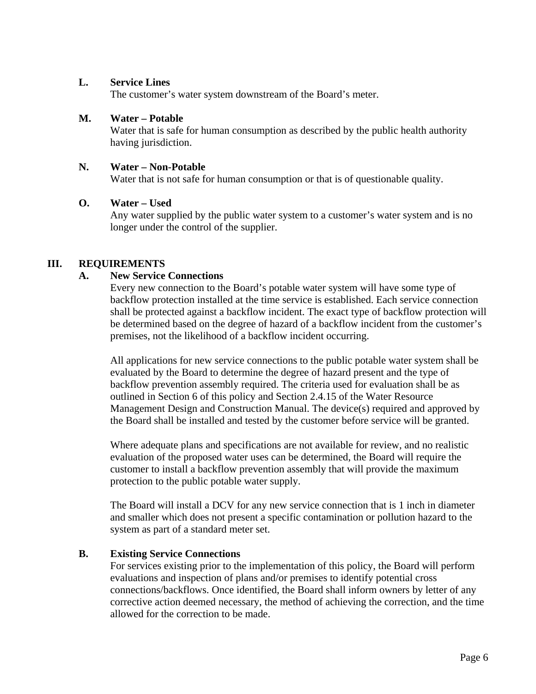### **L. Service Lines**

The customer's water system downstream of the Board's meter.

### **M. Water – Potable**

Water that is safe for human consumption as described by the public health authority having jurisdiction.

### **N. Water – Non-Potable**

Water that is not safe for human consumption or that is of questionable quality.

### **O. Water – Used**

Any water supplied by the public water system to a customer's water system and is no longer under the control of the supplier.

### **III. REQUIREMENTS**

### **A. New Service Connections**

Every new connection to the Board's potable water system will have some type of backflow protection installed at the time service is established. Each service connection shall be protected against a backflow incident. The exact type of backflow protection will be determined based on the degree of hazard of a backflow incident from the customer's premises, not the likelihood of a backflow incident occurring.

All applications for new service connections to the public potable water system shall be evaluated by the Board to determine the degree of hazard present and the type of backflow prevention assembly required. The criteria used for evaluation shall be as outlined in Section 6 of this policy and Section 2.4.15 of the Water Resource Management Design and Construction Manual. The device(s) required and approved by the Board shall be installed and tested by the customer before service will be granted.

Where adequate plans and specifications are not available for review, and no realistic evaluation of the proposed water uses can be determined, the Board will require the customer to install a backflow prevention assembly that will provide the maximum protection to the public potable water supply.

The Board will install a DCV for any new service connection that is 1 inch in diameter and smaller which does not present a specific contamination or pollution hazard to the system as part of a standard meter set.

## **B. Existing Service Connections**

For services existing prior to the implementation of this policy, the Board will perform evaluations and inspection of plans and/or premises to identify potential cross connections/backflows. Once identified, the Board shall inform owners by letter of any corrective action deemed necessary, the method of achieving the correction, and the time allowed for the correction to be made.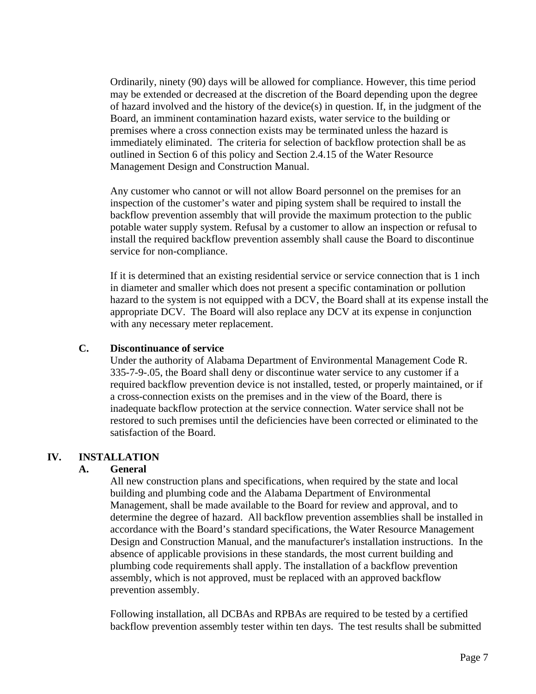Ordinarily, ninety (90) days will be allowed for compliance. However, this time period may be extended or decreased at the discretion of the Board depending upon the degree of hazard involved and the history of the device(s) in question. If, in the judgment of the Board, an imminent contamination hazard exists, water service to the building or premises where a cross connection exists may be terminated unless the hazard is immediately eliminated. The criteria for selection of backflow protection shall be as outlined in Section 6 of this policy and Section 2.4.15 of the Water Resource Management Design and Construction Manual.

Any customer who cannot or will not allow Board personnel on the premises for an inspection of the customer's water and piping system shall be required to install the backflow prevention assembly that will provide the maximum protection to the public potable water supply system. Refusal by a customer to allow an inspection or refusal to install the required backflow prevention assembly shall cause the Board to discontinue service for non-compliance.

If it is determined that an existing residential service or service connection that is 1 inch in diameter and smaller which does not present a specific contamination or pollution hazard to the system is not equipped with a DCV, the Board shall at its expense install the appropriate DCV. The Board will also replace any DCV at its expense in conjunction with any necessary meter replacement.

#### **C. Discontinuance of service**

Under the authority of Alabama Department of Environmental Management Code R. 335-7-9-.05, the Board shall deny or discontinue water service to any customer if a required backflow prevention device is not installed, tested, or properly maintained, or if a cross-connection exists on the premises and in the view of the Board, there is inadequate backflow protection at the service connection. Water service shall not be restored to such premises until the deficiencies have been corrected or eliminated to the satisfaction of the Board.

#### **IV. INSTALLATION**

#### **A. General**

All new construction plans and specifications, when required by the state and local building and plumbing code and the Alabama Department of Environmental Management, shall be made available to the Board for review and approval, and to determine the degree of hazard. All backflow prevention assemblies shall be installed in accordance with the Board's standard specifications, the Water Resource Management Design and Construction Manual, and the manufacturer's installation instructions. In the absence of applicable provisions in these standards, the most current building and plumbing code requirements shall apply. The installation of a backflow prevention assembly, which is not approved, must be replaced with an approved backflow prevention assembly.

Following installation, all DCBAs and RPBAs are required to be tested by a certified backflow prevention assembly tester within ten days. The test results shall be submitted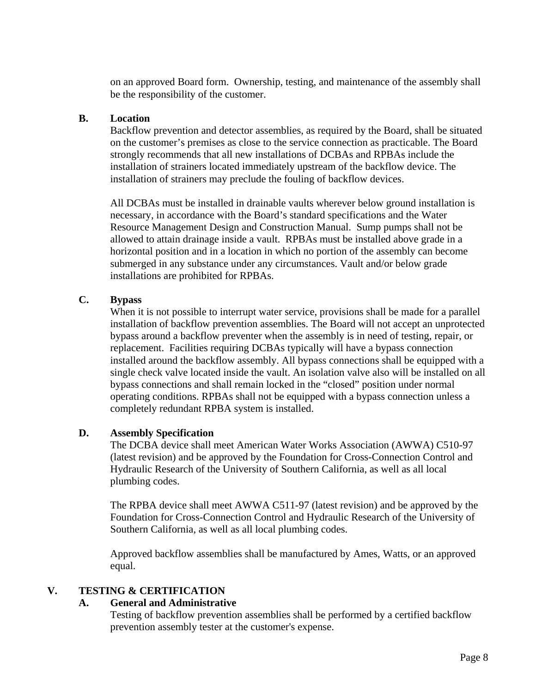on an approved Board form. Ownership, testing, and maintenance of the assembly shall be the responsibility of the customer.

## **B. Location**

Backflow prevention and detector assemblies, as required by the Board, shall be situated on the customer's premises as close to the service connection as practicable. The Board strongly recommends that all new installations of DCBAs and RPBAs include the installation of strainers located immediately upstream of the backflow device. The installation of strainers may preclude the fouling of backflow devices.

All DCBAs must be installed in drainable vaults wherever below ground installation is necessary, in accordance with the Board's standard specifications and the Water Resource Management Design and Construction Manual. Sump pumps shall not be allowed to attain drainage inside a vault. RPBAs must be installed above grade in a horizontal position and in a location in which no portion of the assembly can become submerged in any substance under any circumstances. Vault and/or below grade installations are prohibited for RPBAs.

## **C. Bypass**

When it is not possible to interrupt water service, provisions shall be made for a parallel installation of backflow prevention assemblies. The Board will not accept an unprotected bypass around a backflow preventer when the assembly is in need of testing, repair, or replacement. Facilities requiring DCBAs typically will have a bypass connection installed around the backflow assembly. All bypass connections shall be equipped with a single check valve located inside the vault. An isolation valve also will be installed on all bypass connections and shall remain locked in the "closed" position under normal operating conditions. RPBAs shall not be equipped with a bypass connection unless a completely redundant RPBA system is installed.

## **D. Assembly Specification**

The DCBA device shall meet American Water Works Association (AWWA) C510-97 (latest revision) and be approved by the Foundation for Cross-Connection Control and Hydraulic Research of the University of Southern California, as well as all local plumbing codes.

The RPBA device shall meet AWWA C511-97 (latest revision) and be approved by the Foundation for Cross-Connection Control and Hydraulic Research of the University of Southern California, as well as all local plumbing codes.

Approved backflow assemblies shall be manufactured by Ames, Watts, or an approved equal.

## **V. TESTING & CERTIFICATION**

#### **A. General and Administrative**

Testing of backflow prevention assemblies shall be performed by a certified backflow prevention assembly tester at the customer's expense.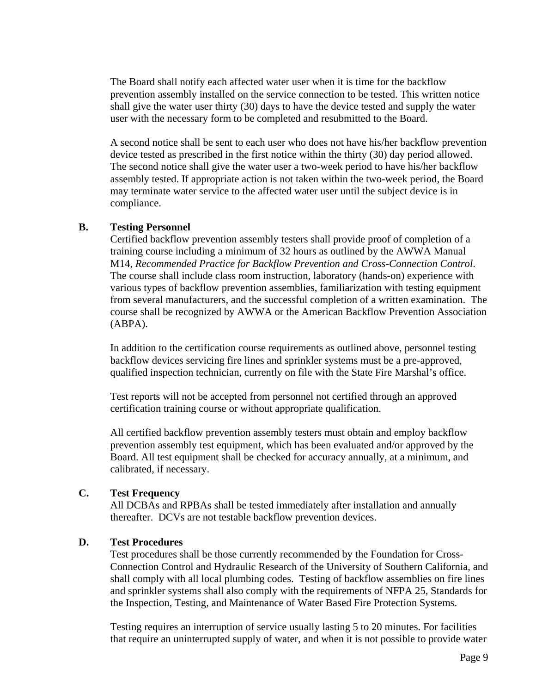The Board shall notify each affected water user when it is time for the backflow prevention assembly installed on the service connection to be tested. This written notice shall give the water user thirty (30) days to have the device tested and supply the water user with the necessary form to be completed and resubmitted to the Board.

A second notice shall be sent to each user who does not have his/her backflow prevention device tested as prescribed in the first notice within the thirty (30) day period allowed. The second notice shall give the water user a two-week period to have his/her backflow assembly tested. If appropriate action is not taken within the two-week period, the Board may terminate water service to the affected water user until the subject device is in compliance.

#### **B. Testing Personnel**

Certified backflow prevention assembly testers shall provide proof of completion of a training course including a minimum of 32 hours as outlined by the AWWA Manual M14, *Recommended Practice for Backflow Prevention and Cross-Connection Control*. The course shall include class room instruction, laboratory (hands-on) experience with various types of backflow prevention assemblies, familiarization with testing equipment from several manufacturers, and the successful completion of a written examination. The course shall be recognized by AWWA or the American Backflow Prevention Association (ABPA).

In addition to the certification course requirements as outlined above, personnel testing backflow devices servicing fire lines and sprinkler systems must be a pre-approved, qualified inspection technician, currently on file with the State Fire Marshal's office.

Test reports will not be accepted from personnel not certified through an approved certification training course or without appropriate qualification.

All certified backflow prevention assembly testers must obtain and employ backflow prevention assembly test equipment, which has been evaluated and/or approved by the Board. All test equipment shall be checked for accuracy annually, at a minimum, and calibrated, if necessary.

## **C. Test Frequency**

All DCBAs and RPBAs shall be tested immediately after installation and annually thereafter. DCVs are not testable backflow prevention devices.

#### **D. Test Procedures**

Test procedures shall be those currently recommended by the Foundation for Cross-Connection Control and Hydraulic Research of the University of Southern California, and shall comply with all local plumbing codes. Testing of backflow assemblies on fire lines and sprinkler systems shall also comply with the requirements of NFPA 25, Standards for the Inspection, Testing, and Maintenance of Water Based Fire Protection Systems.

Testing requires an interruption of service usually lasting 5 to 20 minutes. For facilities that require an uninterrupted supply of water, and when it is not possible to provide water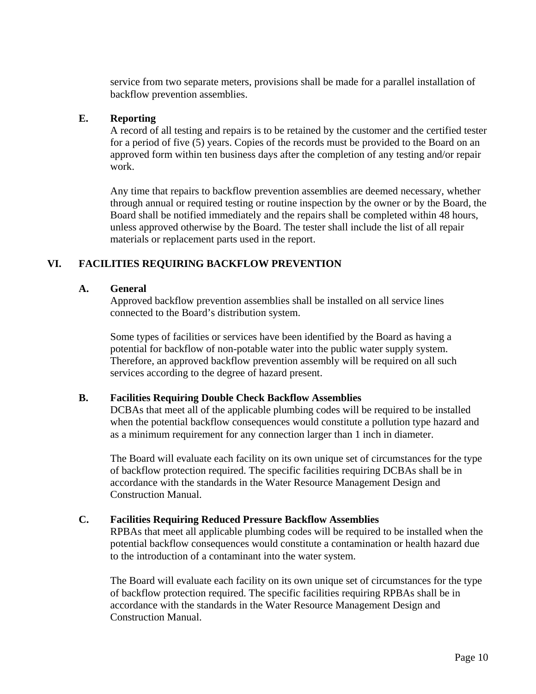service from two separate meters, provisions shall be made for a parallel installation of backflow prevention assemblies.

### **E. Reporting**

A record of all testing and repairs is to be retained by the customer and the certified tester for a period of five (5) years. Copies of the records must be provided to the Board on an approved form within ten business days after the completion of any testing and/or repair work.

Any time that repairs to backflow prevention assemblies are deemed necessary, whether through annual or required testing or routine inspection by the owner or by the Board, the Board shall be notified immediately and the repairs shall be completed within 48 hours, unless approved otherwise by the Board. The tester shall include the list of all repair materials or replacement parts used in the report.

## **VI. FACILITIES REQUIRING BACKFLOW PREVENTION**

## **A. General**

Approved backflow prevention assemblies shall be installed on all service lines connected to the Board's distribution system.

Some types of facilities or services have been identified by the Board as having a potential for backflow of non-potable water into the public water supply system. Therefore, an approved backflow prevention assembly will be required on all such services according to the degree of hazard present.

## **B. Facilities Requiring Double Check Backflow Assemblies**

DCBAs that meet all of the applicable plumbing codes will be required to be installed when the potential backflow consequences would constitute a pollution type hazard and as a minimum requirement for any connection larger than 1 inch in diameter.

The Board will evaluate each facility on its own unique set of circumstances for the type of backflow protection required. The specific facilities requiring DCBAs shall be in accordance with the standards in the Water Resource Management Design and Construction Manual.

## **C. Facilities Requiring Reduced Pressure Backflow Assemblies**

RPBAs that meet all applicable plumbing codes will be required to be installed when the potential backflow consequences would constitute a contamination or health hazard due to the introduction of a contaminant into the water system.

The Board will evaluate each facility on its own unique set of circumstances for the type of backflow protection required. The specific facilities requiring RPBAs shall be in accordance with the standards in the Water Resource Management Design and Construction Manual.